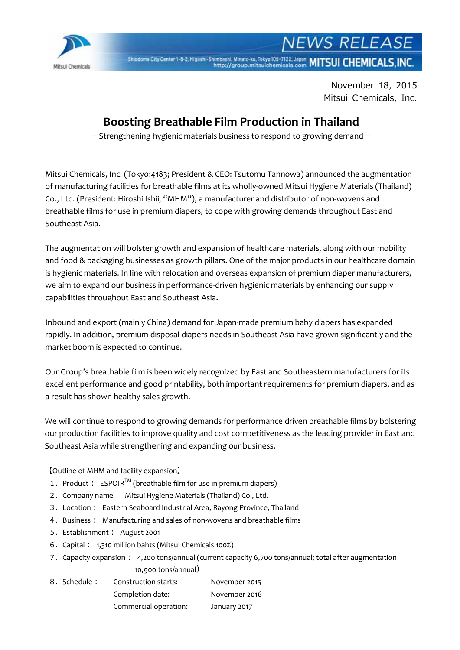

**NEWS RELEASE** Shiodome City Center 1-5-2, Higashi-Shimbashi, Minato-ku, Tokyo 105-7122, Japan MITSUI CHEMICALS, INC.

> November 18, 2015 Mitsui Chemicals, Inc.

## **Boosting Breathable Film Production in Thailand**

 $-$  Strengthening hygienic materials business to respond to growing demand $-$ 

Mitsui Chemicals, Inc. (Tokyo:4183; President & CEO: Tsutomu Tannowa) announced the augmentation of manufacturing facilities for breathable films at its wholly-owned Mitsui Hygiene Materials (Thailand) Co., Ltd. (President: Hiroshi Ishii, "MHM"), a manufacturer and distributor of non-wovens and breathable films for use in premium diapers, to cope with growing demands throughout East and Southeast Asia.

The augmentation will bolster growth and expansion of healthcare materials, along with our mobility and food & packaging businesses as growth pillars. One of the major products in our healthcare domain is hygienic materials. In line with relocation and overseas expansion of premium diaper manufacturers, we aim to expand our business in performance-driven hygienic materials by enhancing our supply capabilities throughout East and Southeast Asia.

Inbound and export (mainly China) demand for Japan-made premium baby diapers has expanded rapidly. In addition, premium disposal diapers needs in Southeast Asia have grown significantly and the market boom is expected to continue.

Our Group's breathable film is been widely recognized by East and Southeastern manufacturers for its excellent performance and good printability, both important requirements for premium diapers, and as a result has shown healthy sales growth.

We will continue to respond to growing demands for performance driven breathable films by bolstering our production facilities to improve quality and cost competitiveness as the leading provider in East and Southeast Asia while strengthening and expanding our business.

【Outline of MHM and facility expansion】

- 1. Product:  $ESPOIR^{TM}$  (breathable film for use in premium diapers)
- 2. Company name: Mitsui Hygiene Materials (Thailand) Co., Ltd.
- 3. Location: Eastern Seaboard Industrial Area, Rayong Province, Thailand
- 4. Business: Manufacturing and sales of non-wovens and breathable films
- 5. Establishment: August 2001
- 6. Capital: 1,310 million bahts (Mitsui Chemicals 100%)
- 7. Capacity expansion: 4,200 tons/annual (current capacity 6,700 tons/annual; total after augmentation 10,900 tons/annual)
- 8. Schedule: Construction starts: November 2015 Completion date: November 2016 Commercial operation: January 2017